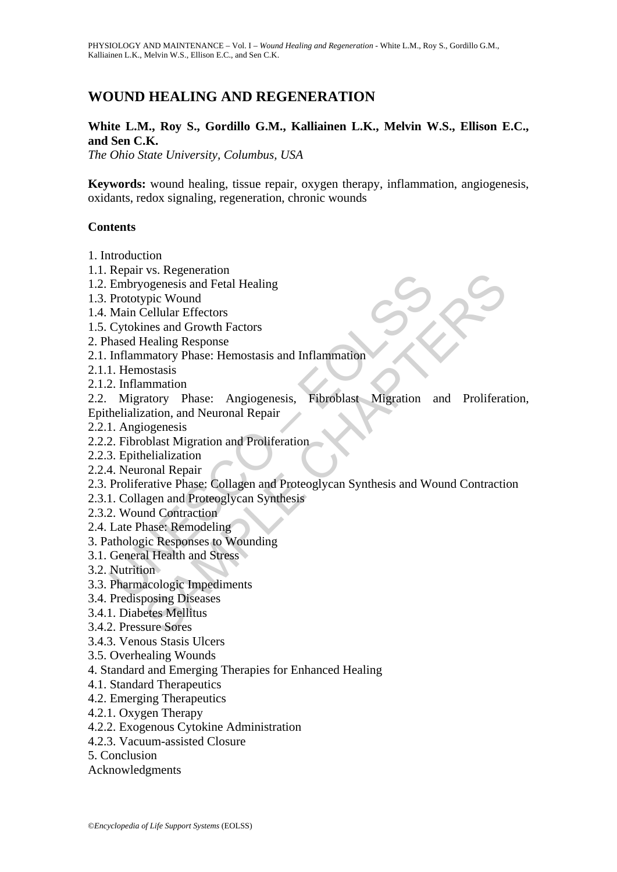# **WOUND HEALING AND REGENERATION**

### **White L.M., Roy S., Gordillo G.M., Kalliainen L.K., Melvin W.S., Ellison E.C., and Sen C.K.**

*The Ohio State University, Columbus, USA* 

**Keywords:** wound healing, tissue repair, oxygen therapy, inflammation, angiogenesis, oxidants, redox signaling, regeneration, chronic wounds

### **Contents**

- 1. Introduction
- 1.1. Repair vs. Regeneration
- 1.2. Embryogenesis and Fetal Healing
- 1.3. Prototypic Wound
- 1.4. Main Cellular Effectors
- 1.5. Cytokines and Growth Factors
- 2. Phased Healing Response
- 2.1. Inflammatory Phase: Hemostasis and Inflammation
- 2.1.1. Hemostasis
- 2.1.2. Inflammation

Ferpart S.: Regineration<br>
Embryogenesis and Fetal Healing<br>
Prototypic Wound<br>
Main Cellular Effectors<br>
Cytokines and Growth Factors<br>
Inflammation<br>
Inflammation<br>
I. Hemostasis<br>
2. Inflammation<br>
1. Hemostasis<br>
2. Inflammation vs. Regeneration<br>
vogenesis and Fetal Healing<br>
vogenesis and Fetal Healing<br>
velic Wound<br>
Cellular Effectors<br>
reas and Growth Factors<br>
Healing Response<br>
matiory Phase: Hemostasis and Inflammation<br>
ostasis<br>
matiory Phase: An 2.2. Migratory Phase: Angiogenesis, Fibroblast Migration and Proliferation, Epithelialization, and Neuronal Repair

- 2.2.1. Angiogenesis
- 2.2.2. Fibroblast Migration and Proliferation
- 2.2.3. Epithelialization
- 2.2.4. Neuronal Repair
- 2.3. Proliferative Phase: Collagen and Proteoglycan Synthesis and Wound Contraction
- 2.3.1. Collagen and Proteoglycan Synthesis
- 2.3.2. Wound Contraction
- 2.4. Late Phase: Remodeling
- 3. Pathologic Responses to Wounding
- 3.1. General Health and Stress
- 3.2. Nutrition
- 3.3. Pharmacologic Impediments
- 3.4. Predisposing Diseases
- 3.4.1. Diabetes Mellitus
- 3.4.2. Pressure Sores
- 3.4.3. Venous Stasis Ulcers
- 3.5. Overhealing Wounds
- 4. Standard and Emerging Therapies for Enhanced Healing
- 4.1. Standard Therapeutics
- 4.2. Emerging Therapeutics
- 4.2.1. Oxygen Therapy
- 4.2.2. Exogenous Cytokine Administration
- 4.2.3. Vacuum-assisted Closure
- 5. Conclusion
- Acknowledgments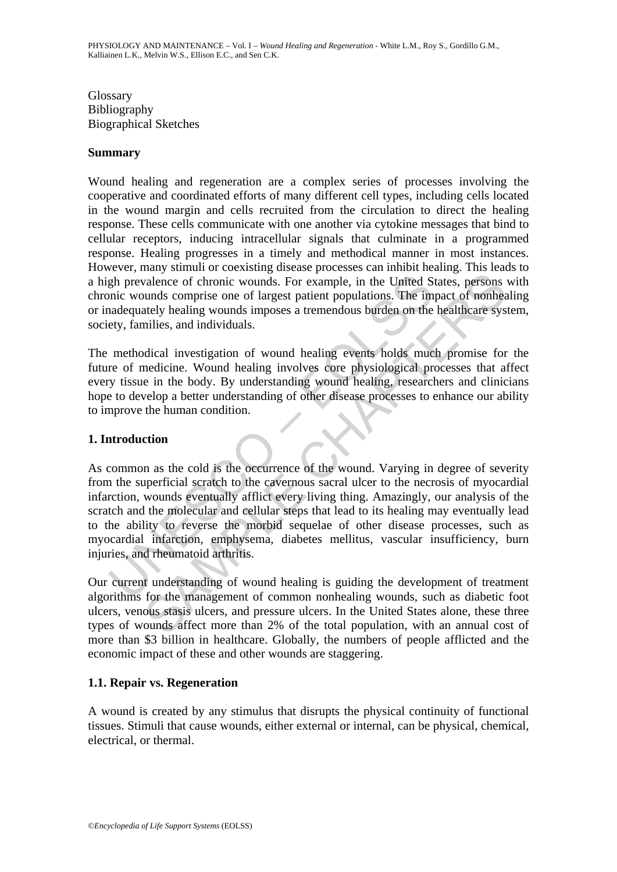Glossary Bibliography Biographical Sketches

### **Summary**

Wound healing and regeneration are a complex series of processes involving the cooperative and coordinated efforts of many different cell types, including cells located in the wound margin and cells recruited from the circulation to direct the healing response. These cells communicate with one another via cytokine messages that bind to cellular receptors, inducing intracellular signals that culminate in a programmed response. Healing progresses in a timely and methodical manner in most instances. However, many stimuli or coexisting disease processes can inhibit healing. This leads to a high prevalence of chronic wounds. For example, in the United States, persons with chronic wounds comprise one of largest patient populations. The impact of nonhealing or inadequately healing wounds imposes a tremendous burden on the healthcare system, society, families, and individuals.

The methodical investigation of wound healing events holds much promise for the future of medicine. Wound healing involves core physiological processes that affect every tissue in the body. By understanding wound healing, researchers and clinicians hope to develop a better understanding of other disease processes to enhance our ability to improve the human condition.

## **1. Introduction**

gh prevalence of chronic wounds. For example, in the United S<br>pinci wounds comprise one of largest patient populations. The im<br>andequately healing wounds imposes a tremendous burden on the<br>ety, families, and individuals.<br>m may simal of vienting streamed the control membericantly random<br>and and the United States, persons and and and and and the United States, persons and scomprise one of largest patient populations. The impact of nonhear<br>atel As common as the cold is the occurrence of the wound. Varying in degree of severity from the superficial scratch to the cavernous sacral ulcer to the necrosis of myocardial infarction, wounds eventually afflict every living thing. Amazingly, our analysis of the scratch and the molecular and cellular steps that lead to its healing may eventually lead to the ability to reverse the morbid sequelae of other disease processes, such as myocardial infarction, emphysema, diabetes mellitus, vascular insufficiency, burn injuries, and rheumatoid arthritis.

Our current understanding of wound healing is guiding the development of treatment algorithms for the management of common nonhealing wounds, such as diabetic foot ulcers, venous stasis ulcers, and pressure ulcers. In the United States alone, these three types of wounds affect more than 2% of the total population, with an annual cost of more than \$3 billion in healthcare. Globally, the numbers of people afflicted and the economic impact of these and other wounds are staggering.

## **1.1. Repair vs. Regeneration**

A wound is created by any stimulus that disrupts the physical continuity of functional tissues. Stimuli that cause wounds, either external or internal, can be physical, chemical, electrical, or thermal.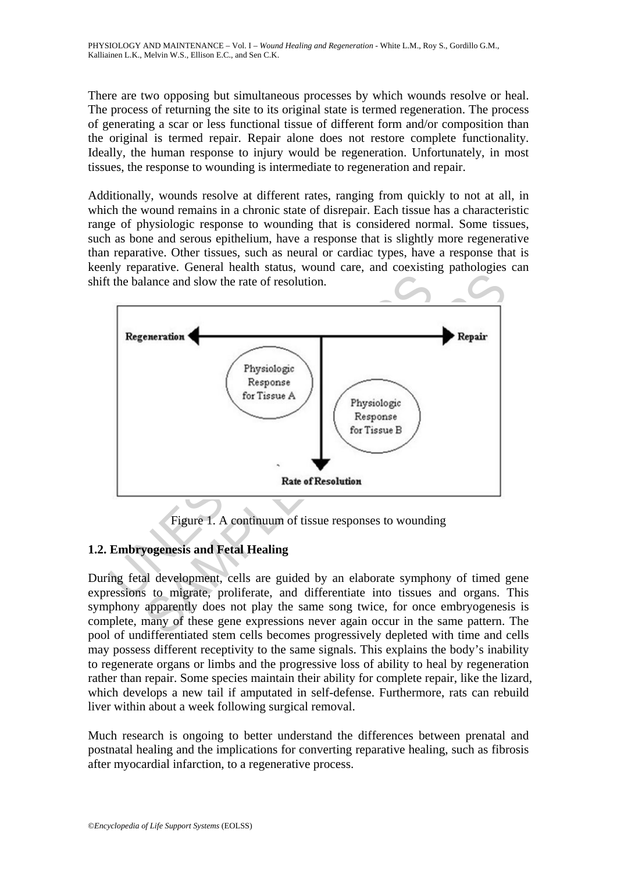There are two opposing but simultaneous processes by which wounds resolve or heal. The process of returning the site to its original state is termed regeneration. The process of generating a scar or less functional tissue of different form and/or composition than the original is termed repair. Repair alone does not restore complete functionality. Ideally, the human response to injury would be regeneration. Unfortunately, in most tissues, the response to wounding is intermediate to regeneration and repair.

Additionally, wounds resolve at different rates, ranging from quickly to not at all, in which the wound remains in a chronic state of disrepair. Each tissue has a characteristic range of physiologic response to wounding that is considered normal. Some tissues, such as bone and serous epithelium, have a response that is slightly more regenerative than reparative. Other tissues, such as neural or cardiac types, have a response that is keenly reparative. General health status, wound care, and coexisting pathologies can shift the balance and slow the rate of resolution.



Figure 1. A continuum of tissue responses to wounding

# **1.2. Embryogenesis and Fetal Healing**

During fetal development, cells are guided by an elaborate symphony of timed gene expressions to migrate, proliferate, and differentiate into tissues and organs. This symphony apparently does not play the same song twice, for once embryogenesis is complete, many of these gene expressions never again occur in the same pattern. The pool of undifferentiated stem cells becomes progressively depleted with time and cells may possess different receptivity to the same signals. This explains the body's inability to regenerate organs or limbs and the progressive loss of ability to heal by regeneration rather than repair. Some species maintain their ability for complete repair, like the lizard, which develops a new tail if amputated in self-defense. Furthermore, rats can rebuild liver within about a week following surgical removal.

Much research is ongoing to better understand the differences between prenatal and postnatal healing and the implications for converting reparative healing, such as fibrosis after myocardial infarction, to a regenerative process.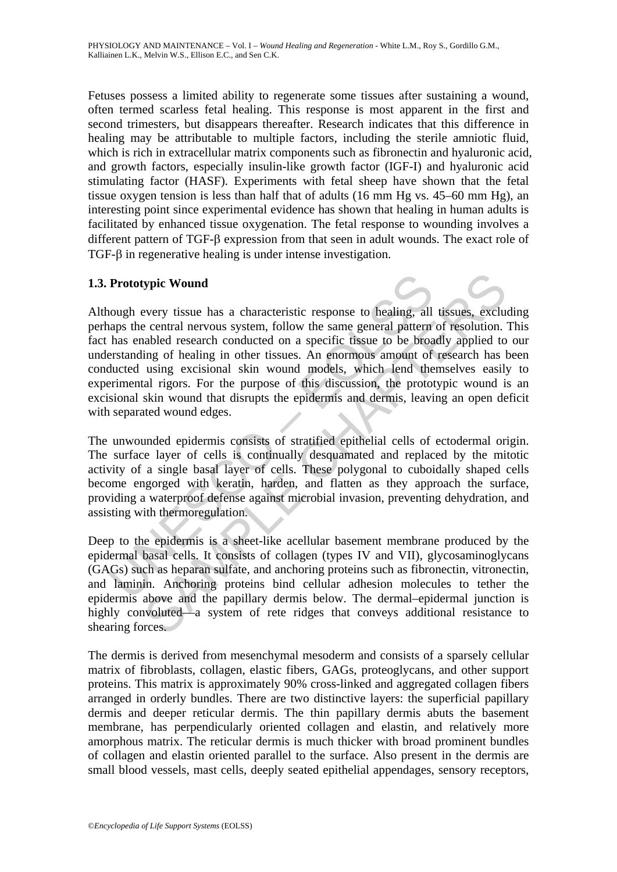Fetuses possess a limited ability to regenerate some tissues after sustaining a wound, often termed scarless fetal healing. This response is most apparent in the first and second trimesters, but disappears thereafter. Research indicates that this difference in healing may be attributable to multiple factors, including the sterile amniotic fluid, which is rich in extracellular matrix components such as fibronectin and hyaluronic acid, and growth factors, especially insulin-like growth factor (IGF-I) and hyaluronic acid stimulating factor (HASF). Experiments with fetal sheep have shown that the fetal tissue oxygen tension is less than half that of adults (16 mm Hg vs. 45–60 mm Hg), an interesting point since experimental evidence has shown that healing in human adults is facilitated by enhanced tissue oxygenation. The fetal response to wounding involves a different pattern of TGF-β expression from that seen in adult wounds. The exact role of TGF-β in regenerative healing is under intense investigation.

## **1.3. Prototypic Wound**

**Prototypic Wound**<br>
nough every tissue has a characteristic response to healing, all<br>
naps the central nervous system, follow the same general pattern<br>
has enabled researd conducted on a specific tissue to be broad<br>
erstan xpic Wound<br>every tissue has a characteristic response to healing, all tissues, exclue<br>central nervous system, follow the same general pattern of resolution.<br>Analog research conducted on a specific tissue to be broadly appl Although every tissue has a characteristic response to healing, all tissues, excluding perhaps the central nervous system, follow the same general pattern of resolution. This fact has enabled research conducted on a specific tissue to be broadly applied to our understanding of healing in other tissues. An enormous amount of research has been conducted using excisional skin wound models, which lend themselves easily to experimental rigors. For the purpose of this discussion, the prototypic wound is an excisional skin wound that disrupts the epidermis and dermis, leaving an open deficit with separated wound edges.

The unwounded epidermis consists of stratified epithelial cells of ectodermal origin. The surface layer of cells is continually desquamated and replaced by the mitotic activity of a single basal layer of cells. These polygonal to cuboidally shaped cells become engorged with keratin, harden, and flatten as they approach the surface, providing a waterproof defense against microbial invasion, preventing dehydration, and assisting with thermoregulation.

Deep to the epidermis is a sheet-like acellular basement membrane produced by the epidermal basal cells. It consists of collagen (types IV and VII), glycosaminoglycans (GAGs) such as heparan sulfate, and anchoring proteins such as fibronectin, vitronectin, and laminin. Anchoring proteins bind cellular adhesion molecules to tether the epidermis above and the papillary dermis below. The dermal–epidermal junction is highly convoluted—a system of rete ridges that conveys additional resistance to shearing forces.

The dermis is derived from mesenchymal mesoderm and consists of a sparsely cellular matrix of fibroblasts, collagen, elastic fibers, GAGs, proteoglycans, and other support proteins. This matrix is approximately 90% cross-linked and aggregated collagen fibers arranged in orderly bundles. There are two distinctive layers: the superficial papillary dermis and deeper reticular dermis. The thin papillary dermis abuts the basement membrane, has perpendicularly oriented collagen and elastin, and relatively more amorphous matrix. The reticular dermis is much thicker with broad prominent bundles of collagen and elastin oriented parallel to the surface. Also present in the dermis are small blood vessels, mast cells, deeply seated epithelial appendages, sensory receptors,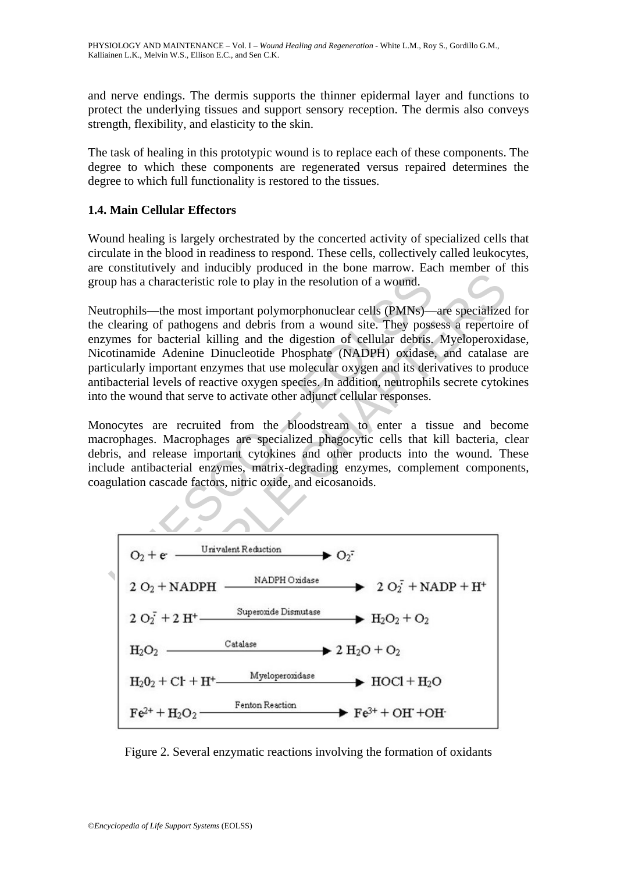and nerve endings. The dermis supports the thinner epidermal layer and functions to protect the underlying tissues and support sensory reception. The dermis also conveys strength, flexibility, and elasticity to the skin.

The task of healing in this prototypic wound is to replace each of these components. The degree to which these components are regenerated versus repaired determines the degree to which full functionality is restored to the tissues.

## **1.4. Main Cellular Effectors**

Wound healing is largely orchestrated by the concerted activity of specialized cells that circulate in the blood in readiness to respond. These cells, collectively called leukocytes, are constitutively and inducibly produced in the bone marrow. Each member of this group has a characteristic role to play in the resolution of a wound.

up has a characteristic role to play in the resolution of a wound.<br>
trophils—the most important polymorphonuclear cells (PMNs)—<br>
clearing of pathogens and debris from a wound site. They poss<br>
to the disting and the digest Neutrophils**—**the most important polymorphonuclear cells (PMNs)—are specialized for the clearing of pathogens and debris from a wound site. They possess a repertoire of enzymes for bacterial killing and the digestion of cellular debris. Myeloperoxidase, Nicotinamide Adenine Dinucleotide Phosphate (NADPH) oxidase, and catalase are particularly important enzymes that use molecular oxygen and its derivatives to produce antibacterial levels of reactive oxygen species. In addition, neutrophils secrete cytokines into the wound that serve to activate other adjunct cellular responses.

Monocytes are recruited from the bloodstream to enter a tissue and become macrophages. Macrophages are specialized phagocytic cells that kill bacteria, clear debris, and release important cytokines and other products into the wound. These include antibacterial enzymes, matrix-degrading enzymes, complement components, coagulation cascade factors, nitric oxide, and eicosanoids.



Figure 2. Several enzymatic reactions involving the formation of oxidants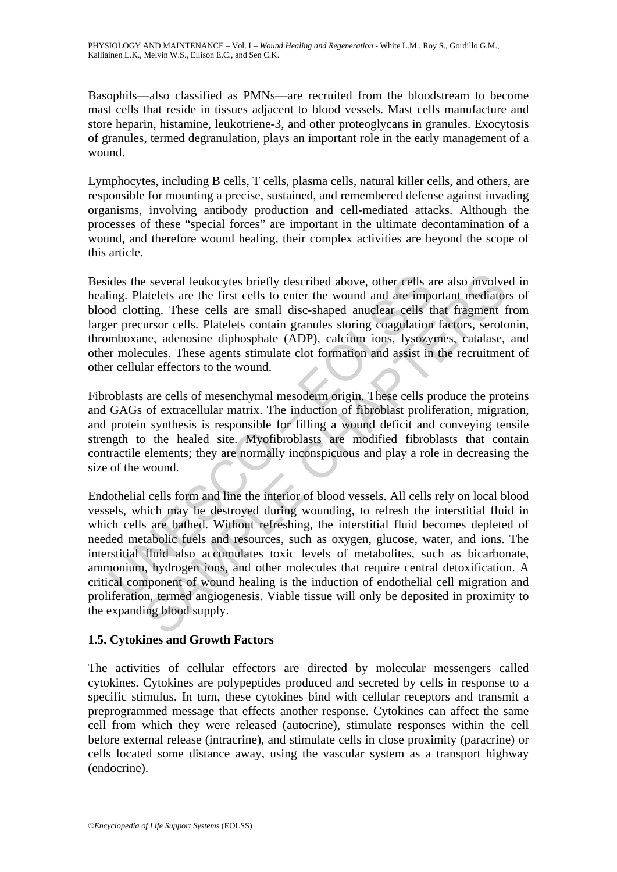PHYSIOLOGY AND MAINTENANCE – Vol. I – *Wound Healing and Regeneration* - White L.M., Roy S., Gordillo G.M., Kalliainen L.K., Melvin W.S., Ellison E.C., and Sen C.K.

Basophils—also classified as PMNs—are recruited from the bloodstream to become mast cells that reside in tissues adjacent to blood vessels. Mast cells manufacture and store heparin, histamine, leukotriene-3, and other proteoglycans in granules. Exocytosis of granules, termed degranulation, plays an important role in the early management of a wound.

Lymphocytes, including B cells, T cells, plasma cells, natural killer cells, and others, are responsible for mounting a precise, sustained, and remembered defense against invading organisms, involving antibody production and cell-mediated attacks. Although the processes of these "special forces" are important in the ultimate decontamination of a wound, and therefore wound healing, their complex activities are beyond the scope of this article.

Besides the several leukocytes briefly described above, other cells are also involved in healing. Platelets are the first cells to enter the wound and are important mediators of blood clotting. These cells are small disc-shaped anuclear cells that fragment from larger precursor cells. Platelets contain granules storing coagulation factors, serotonin, thromboxane, adenosine diphosphate (ADP), calcium ions, lysozymes, catalase, and other molecules. These agents stimulate clot formation and assist in the recruitment of other cellular effectors to the wound.

Fibroblasts are cells of mesenchymal mesoderm origin. These cells produce the proteins and GAGs of extracellular matrix. The induction of fibroblast proliferation, migration, and protein synthesis is responsible for filling a wound deficit and conveying tensile strength to the healed site. Myofibroblasts are modified fibroblasts that contain contractile elements; they are normally inconspicuous and play a role in decreasing the size of the wound.

ides the several leukocytes briefly described above, other cells a<br>ing. Platelets are the first cells to enter the wound and are imported above and the second and the enter second and the precursor cells. Platelets contain is exeral leukocytes briefly described above, other cells are also involve<br>atelets are the first cells to enter the wound and are important mediator<br>ing. These cells are small disc-shaped anuelear cells that fragment it<br>ur Endothelial cells form and line the interior of blood vessels. All cells rely on local blood vessels, which may be destroyed during wounding, to refresh the interstitial fluid in which cells are bathed. Without refreshing, the interstitial fluid becomes depleted of needed metabolic fuels and resources, such as oxygen, glucose, water, and ions. The interstitial fluid also accumulates toxic levels of metabolites, such as bicarbonate, ammonium, hydrogen ions, and other molecules that require central detoxification. A critical component of wound healing is the induction of endothelial cell migration and proliferation, termed angiogenesis. Viable tissue will only be deposited in proximity to the expanding blood supply.

## **1.5. Cytokines and Growth Factors**

The activities of cellular effectors are directed by molecular messengers called cytokines. Cytokines are polypeptides produced and secreted by cells in response to a specific stimulus. In turn, these cytokines bind with cellular receptors and transmit a preprogrammed message that effects another response. Cytokines can affect the same cell from which they were released (autocrine), stimulate responses within the cell before external release (intracrine), and stimulate cells in close proximity (paracrine) or cells located some distance away, using the vascular system as a transport highway (endocrine).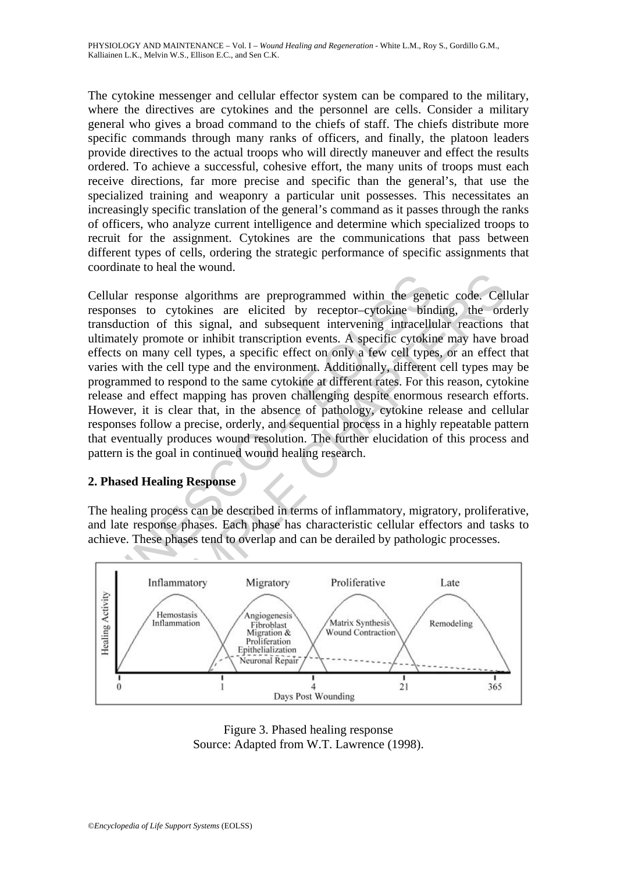The cytokine messenger and cellular effector system can be compared to the military, where the directives are cytokines and the personnel are cells. Consider a military general who gives a broad command to the chiefs of staff. The chiefs distribute more specific commands through many ranks of officers, and finally, the platoon leaders provide directives to the actual troops who will directly maneuver and effect the results ordered. To achieve a successful, cohesive effort, the many units of troops must each receive directions, far more precise and specific than the general's, that use the specialized training and weaponry a particular unit possesses. This necessitates an increasingly specific translation of the general's command as it passes through the ranks of officers, who analyze current intelligence and determine which specialized troops to recruit for the assignment. Cytokines are the communications that pass between different types of cells, ordering the strategic performance of specific assignments that coordinate to heal the wound.

ular response algorithms are preprogrammed within the genomeses to cytokines are elicited by receptor-cytokine binad<br>solution of this signal, and subsequent intervening intracelly<br>mately promote or inhibit transcription ev France and the search of the search of the search of the search of this signal, and subsequent intervening intracellular reactions<br>
to cylokines are elicited by receptor-cytokine binding, the order of this signal, and subs Cellular response algorithms are preprogrammed within the genetic code. Cellular responses to cytokines are elicited by receptor–cytokine binding, the orderly transduction of this signal, and subsequent intervening intracellular reactions that ultimately promote or inhibit transcription events. A specific cytokine may have broad effects on many cell types, a specific effect on only a few cell types, or an effect that varies with the cell type and the environment. Additionally, different cell types may be programmed to respond to the same cytokine at different rates. For this reason, cytokine release and effect mapping has proven challenging despite enormous research efforts. However, it is clear that, in the absence of pathology, cytokine release and cellular responses follow a precise, orderly, and sequential process in a highly repeatable pattern that eventually produces wound resolution. The further elucidation of this process and pattern is the goal in continued wound healing research.

### **2. Phased Healing Response**

The healing process can be described in terms of inflammatory, migratory, proliferative, and late response phases. Each phase has characteristic cellular effectors and tasks to achieve. These phases tend to overlap and can be derailed by pathologic processes.



Figure 3. Phased healing response Source: Adapted from W.T. Lawrence (1998).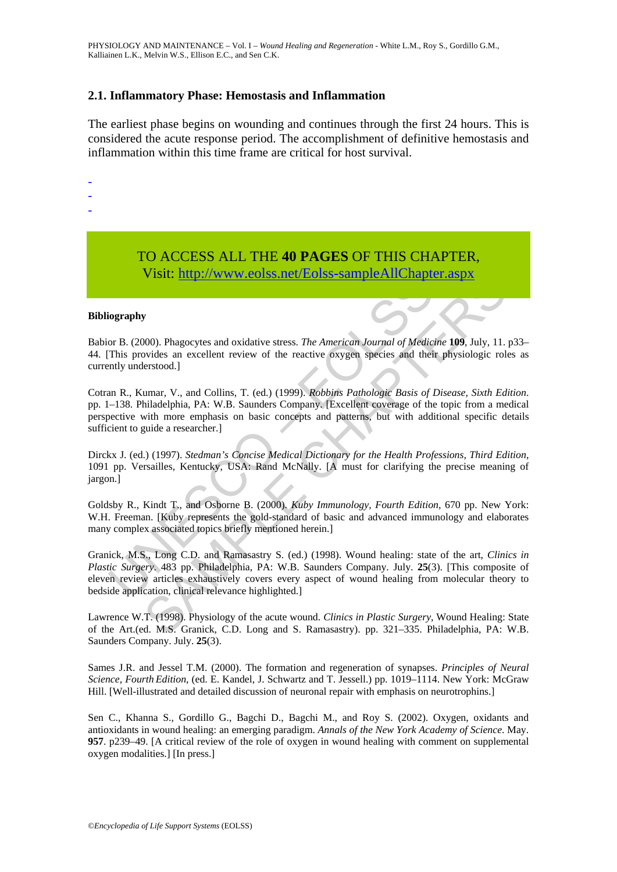### **2.1. Inflammatory Phase: Hemostasis and Inflammation**

The earliest phase begins on wounding and continues through the first 24 hours. This is considered the acute response period. The accomplishment of definitive hemostasis and inflammation within this time frame are critical for host survival.

- -
- -
- -

# TO ACCESS ALL THE **40 PAGES** OF THIS CHAPTER, Visit: http://www.eolss.net/Eolss-sampleAllChapter.aspx

#### **Bibliography**

Babior B. (2000). Phagocytes and oxidative stress. *The American Journal of Medicine* **109**, July, 11. p33– 44. [This provides an excellent review of the reactive oxygen species and their physiologic roles as currently understood.]

VISIL: **IIII**P://WWW.COISS.het/EOISS-Sample All Chaptions<br>
or B. (2000). Phagocytes and oxidative stress. *The American Journal of Medica*<br>
This provides an excellent review of the reactive oxygen species and their<br>
ently SAMPLE CHAPTER[S](https://www.eolss.net/ebooklib/sc_cart.aspx?File=E6-54-01-07) Cotran R., Kumar, V., and Collins, T. (ed.) (1999). *Robbins Pathologic Basis of Disease, Sixth Edition*. pp. 1–138. Philadelphia, PA: W.B. Saunders Company. [Excellent coverage of the topic from a medical perspective with more emphasis on basic concepts and patterns, but with additional specific details sufficient to guide a researcher.]

Dirckx J. (ed.) (1997). *Stedman's Concise Medical Dictionary for the Health Professions, Third Edition*, 1091 pp. Versailles, Kentucky, USA: Rand McNally. [A must for clarifying the precise meaning of jargon.]

Goldsby R., Kindt T., and Osborne B. (2000). *Kuby Immunology, Fourth Edition*, 670 pp. New York: W.H. Freeman. [Kuby represents the gold-standard of basic and advanced immunology and elaborates many complex associated topics briefly mentioned herein.]

Granick, M.S., Long C.D. and Ramasastry S. (ed.) (1998). Wound healing: state of the art, *Clinics in Plastic Surgery*. 483 pp. Philadelphia, PA: W.B. Saunders Company. July. **25**(3). [This composite of eleven review articles exhaustively covers every aspect of wound healing from molecular theory to bedside application, clinical relevance highlighted.]

Lawrence W.T. (1998). Physiology of the acute wound. *Clinics in Plastic Surgery*, Wound Healing: State of the Art.(ed. M.S. Granick, C.D. Long and S. Ramasastry). pp. 321–335. Philadelphia, PA: W.B. Saunders Company. July. **25**(3).

Sames J.R. and Jessel T.M. (2000). The formation and regeneration of synapses. *Principles of Neural Science, Fourth Edition*, (ed. E. Kandel, J. Schwartz and T. Jessell.) pp. 1019–1114. New York: McGraw Hill. [Well-illustrated and detailed discussion of neuronal repair with emphasis on neurotrophins.]

Sen C., Khanna S., Gordillo G., Bagchi D., Bagchi M., and Roy S. (2002). Oxygen, oxidants and antioxidants in wound healing: an emerging paradigm. *Annals of the New York Academy of Science*. May. **957**. p239–49. [A critical review of the role of oxygen in wound healing with comment on supplemental oxygen modalities.] [In press.]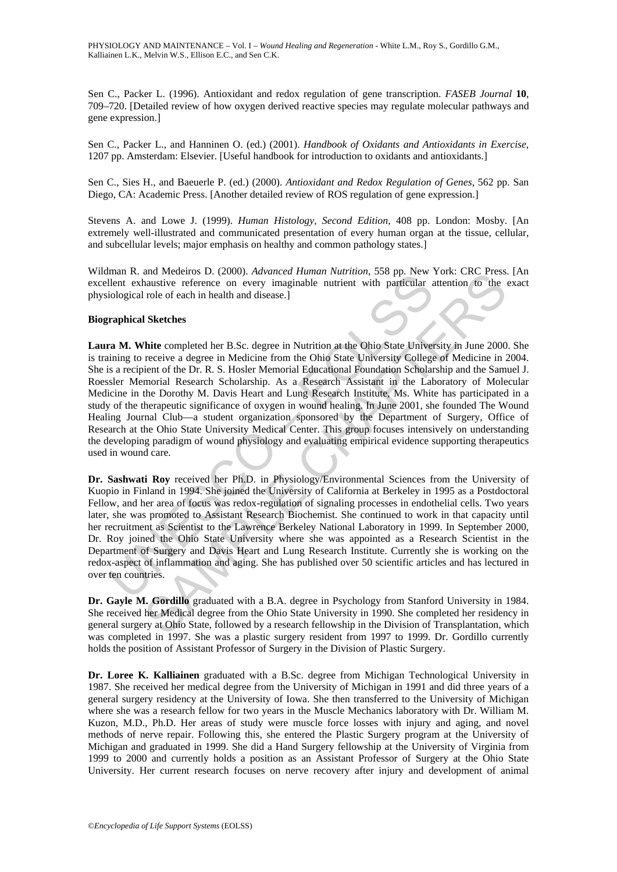PHYSIOLOGY AND MAINTENANCE – Vol. I – *Wound Healing and Regeneration* - White L.M., Roy S., Gordillo G.M., Kalliainen L.K., Melvin W.S., Ellison E.C., and Sen C.K.

Sen C., Packer L. (1996). Antioxidant and redox regulation of gene transcription. *FASEB Journal* **10**, 709–720. [Detailed review of how oxygen derived reactive species may regulate molecular pathways and gene expression.]

Sen C., Packer L., and Hanninen O. (ed.) (2001). *Handbook of Oxidants and Antioxidants in Exercise*, 1207 pp. Amsterdam: Elsevier. [Useful handbook for introduction to oxidants and antioxidants.]

Sen C., Sies H., and Baeuerle P. (ed.) (2000). *Antioxidant and Redox Regulation of Genes*, 562 pp. San Diego, CA: Academic Press. [Another detailed review of ROS regulation of gene expression.]

Stevens A. and Lowe J. (1999). *Human Histology, Second Edition*, 408 pp. London: Mosby. [An extremely well-illustrated and communicated presentation of every human organ at the tissue, cellular, and subcellular levels; major emphasis on healthy and common pathology states.]

Wildman R. and Medeiros D. (2000). *Advanced Human Nutrition*, 558 pp. New York: CRC Press. [An excellent exhaustive reference on every imaginable nutrient with particular attention to the exact physiological role of each in health and disease.]

#### **Biographical Sketches**

main K. and wetensio S. (2000). And wete *ruman in Natriush*, 550 pp. New The column is an expected to the Direction of the Direction of the Direction of the Direction of the Direction of the Direction of the Direction of and wicecnos D. (2000). *Aawarea rumain* wurruton, 536 pp. New York: Cec recession<br>hassistive reference on every imaginable nutrient with particular attention to the look<br>of state University of the Dreft Chaptain and disea **Laura M. White** completed her B.Sc. degree in Nutrition at the Ohio State University in June 2000. She is training to receive a degree in Medicine from the Ohio State University College of Medicine in 2004. She is a recipient of the Dr. R. S. Hosler Memorial Educational Foundation Scholarship and the Samuel J. Roessler Memorial Research Scholarship. As a Research Assistant in the Laboratory of Molecular Medicine in the Dorothy M. Davis Heart and Lung Research Institute, Ms. White has participated in a study of the therapeutic significance of oxygen in wound healing. In June 2001, she founded The Wound Healing Journal Club—a student organization sponsored by the Department of Surgery, Office of Research at the Ohio State University Medical Center. This group focuses intensively on understanding the developing paradigm of wound physiology and evaluating empirical evidence supporting therapeutics used in wound care.

**Dr. Sashwati Roy** received her Ph.D. in Physiology/Environmental Sciences from the University of Kuopio in Finland in 1994. She joined the University of California at Berkeley in 1995 as a Postdoctoral Fellow, and her area of focus was redox-regulation of signaling processes in endothelial cells. Two years later, she was promoted to Assistant Research Biochemist. She continued to work in that capacity until her recruitment as Scientist to the Lawrence Berkeley National Laboratory in 1999. In September 2000, Dr. Roy joined the Ohio State University where she was appointed as a Research Scientist in the Department of Surgery and Davis Heart and Lung Research Institute. Currently she is working on the redox-aspect of inflammation and aging. She has published over 50 scientific articles and has lectured in over ten countries.

**Dr. Gayle M. Gordillo** graduated with a B.A. degree in Psychology from Stanford University in 1984. She received her Medical degree from the Ohio State University in 1990. She completed her residency in general surgery at Ohio State, followed by a research fellowship in the Division of Transplantation, which was completed in 1997. She was a plastic surgery resident from 1997 to 1999. Dr. Gordillo currently holds the position of Assistant Professor of Surgery in the Division of Plastic Surgery.

**Dr. Loree K. Kalliainen** graduated with a B.Sc. degree from Michigan Technological University in 1987. She received her medical degree from the University of Michigan in 1991 and did three years of a general surgery residency at the University of Iowa. She then transferred to the University of Michigan where she was a research fellow for two years in the Muscle Mechanics laboratory with Dr. William M. Kuzon, M.D., Ph.D. Her areas of study were muscle force losses with injury and aging, and novel methods of nerve repair. Following this, she entered the Plastic Surgery program at the University of Michigan and graduated in 1999. She did a Hand Surgery fellowship at the University of Virginia from 1999 to 2000 and currently holds a position as an Assistant Professor of Surgery at the Ohio State University. Her current research focuses on nerve recovery after injury and development of animal